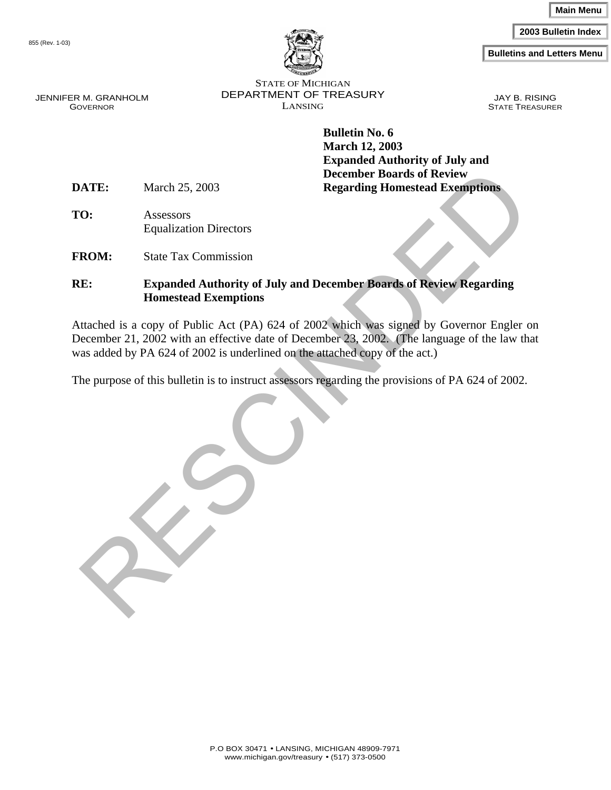**2003 Bulletin Index**

**Bulletins and Letters Menu**



855 (Rev. 1-03)

JENNIFER M. GRANHOLM GOVERNOR

STATE OF MICHIGAN DEPARTMENT OF TREASURY LANSING

JAY B. RISING STATE TREASURER

**Bulletin No. 6 March 12, 2003 Expanded Authority of July and December Boards of Review DATE:** March 25, 2003 **Regarding Homestead Exemptions** 

**TO:** Assessors Equalization Directors

**FROM:** State Tax Commission

#### **RE: Expanded Authority of July and December Boards of Review Regarding Homestead Exemptions**

NATE:<br>
March 25, 2003<br>
Regarding Homestead Exemptions<br>
C:<br>
Assessors<br>
Equalization Directors<br>
REM:<br>
State Tax Commission<br>
E:<br>
Expanded Authority of July and December Boards of Review Regarding<br>
Homestead Exemptions<br>
trache Attached is a copy of Public Act (PA) 624 of 2002 which was signed by Governor Engler on December 21, 2002 with an effective date of December 23, 2002. (The language of the law that was added by PA 624 of 2002 is underlined on the attached copy of the act.)

The purpose of this bulletin is to instruct assessors regarding the provisions of PA 624 of 2002.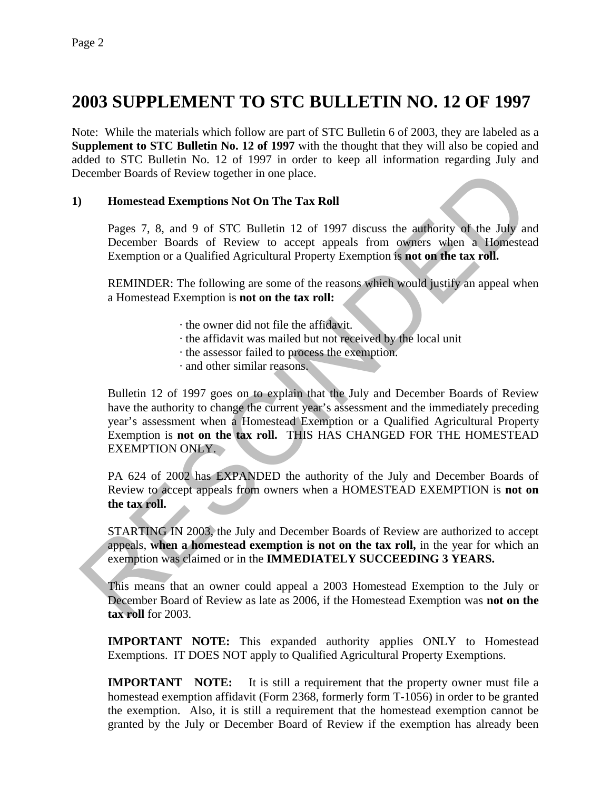## **2003 SUPPLEMENT TO STC BULLETIN NO. 12 OF 1997**

Note: While the materials which follow are part of STC Bulletin 6 of 2003, they are labeled as a **Supplement to STC Bulletin No. 12 of 1997** with the thought that they will also be copied and added to STC Bulletin No. 12 of 1997 in order to keep all information regarding July and December Boards of Review together in one place.

#### **1) Homestead Exemptions Not On The Tax Roll**

Pages 7, 8, and 9 of STC Bulletin 12 of 1997 discuss the authority of the July and December Boards of Review to accept appeals from owners when a Homestead Exemption or a Qualified Agricultural Property Exemption is **not on the tax roll.**

REMINDER: The following are some of the reasons which would justify an appeal when a Homestead Exemption is **not on the tax roll:**

- · the owner did not file the affidavit.
- · the affidavit was mailed but not received by the local unit
- · the assessor failed to process the exemption.
- · and other similar reasons.

**EXECUTE:** Homeosta Sof Review together in one place.<br> **Homestead Exemptions Not On The Tax Roll**<br>
Pages 7, 8, and 9 of STC Bulletin 12 of 1997 discuss the authority of the July are<br>
December Boards of Review to accept ap Bulletin 12 of 1997 goes on to explain that the July and December Boards of Review have the authority to change the current year's assessment and the immediately preceding year's assessment when a Homestead Exemption or a Qualified Agricultural Property Exemption is **not on the tax roll.** THIS HAS CHANGED FOR THE HOMESTEAD EXEMPTION ONLY.

PA 624 of 2002 has EXPANDED the authority of the July and December Boards of Review to accept appeals from owners when a HOMESTEAD EXEMPTION is **not on the tax roll.**

STARTING IN 2003, the July and December Boards of Review are authorized to accept appeals, **when a homestead exemption is not on the tax roll,** in the year for which an exemption was claimed or in the **IMMEDIATELY SUCCEEDING 3 YEARS.**

This means that an owner could appeal a 2003 Homestead Exemption to the July or December Board of Review as late as 2006, if the Homestead Exemption was **not on the tax roll** for 2003.

**IMPORTANT NOTE:** This expanded authority applies ONLY to Homestead Exemptions. IT DOES NOT apply to Qualified Agricultural Property Exemptions.

**IMPORTANT NOTE:** It is still a requirement that the property owner must file a homestead exemption affidavit (Form 2368, formerly form T-1056) in order to be granted the exemption. Also, it is still a requirement that the homestead exemption cannot be granted by the July or December Board of Review if the exemption has already been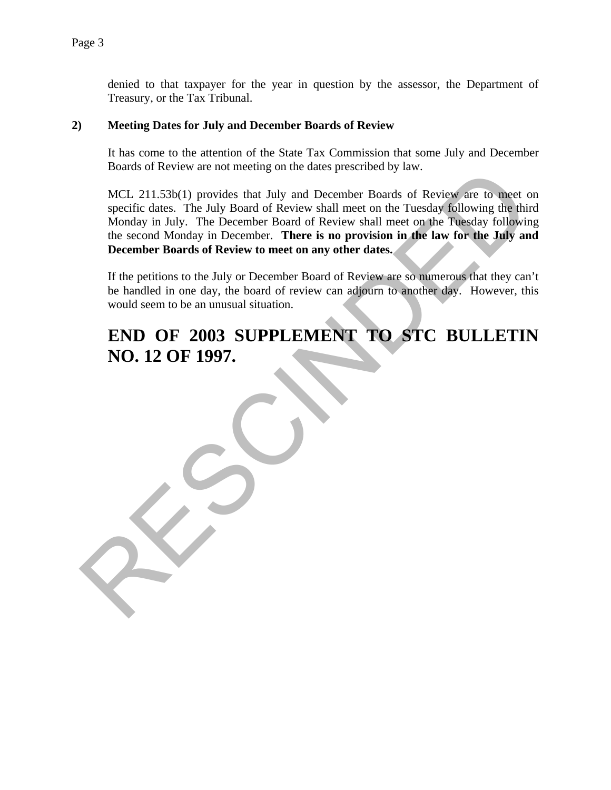denied to that taxpayer for the year in question by the assessor, the Department of Treasury, or the Tax Tribunal.

#### **2) Meeting Dates for July and December Boards of Review**

It has come to the attention of the State Tax Commission that some July and December Boards of Review are not meeting on the dates prescribed by law.

Boards of Review are tot interesting on the dates presented by law.<br>
MCL 211.586(1) provides that July and December Boards of Review shall meet on the Tuesday following the this<br>
Monday in July. The December Board of Revie MCL 211.53b(1) provides that July and December Boards of Review are to meet on specific dates. The July Board of Review shall meet on the Tuesday following the third Monday in July. The December Board of Review shall meet on the Tuesday following the second Monday in December. **There is no provision in the law for the July and December Boards of Review to meet on any other dates.**

If the petitions to the July or December Board of Review are so numerous that they can't be handled in one day, the board of review can adjourn to another day. However, this would seem to be an unusual situation.

## **END OF 2003 SUPPLEMENT TO STC BULLETIN NO. 12 OF 1997.**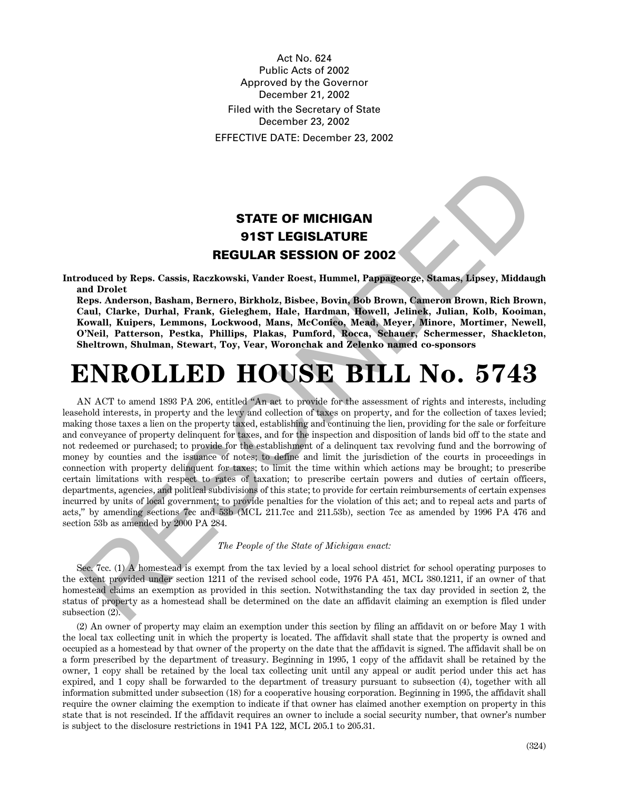Act No. 624 Public Acts of 2002 Approved by the Governor December 21, 2002 Filed with the Secretary of State December 23, 2002 EFFECTIVE DATE: December 23, 2002

### **STATE OF MICHIGAN 91ST LEGISLATURE REGULAR SESSION OF 2002**

**Introduced by Reps. Cassis, Raczkowski, Vander Roest, Hummel, Pappageorge, Stamas, Lipsey, Middaugh and Drolet**

**Reps. Anderson, Basham, Bernero, Birkholz, Bisbee, Bovin, Bob Brown, Cameron Brown, Rich Brown, Caul, Clarke, Durhal, Frank, Gieleghem, Hale, Hardman, Howell, Jelinek, Julian, Kolb, Kooiman, Kowall, Kuipers, Lemmons, Lockwood, Mans, McConico, Mead, Meyer, Minore, Mortimer, Newell, O'Neil, Patterson, Pestka, Phillips, Plakas, Pumford, Rocca, Schauer, Schermesser, Shackleton, Sheltrown, Shulman, Stewart, Toy, Vear, Woronchak and Zelenko named co-sponsors**

# **ENROLLED HOUSE BILL No. 5743**

**STATE OF MICHIGAN<br>
STATE OF MICHIGAN<br>
91ST LEGISLATURE<br>
REGULAR SESSION OF 2002<br>
Neducted by Reps. Cassis, Reckowski, Vander Roest, Humanel, Pappareorpe, Stamas, Hosey, Middau<br>
11 Cherk, Durhal, Prank, Gitelghem, Hale, H** AN ACT to amend 1893 PA 206, entitled "An act to provide for the assessment of rights and interests, including leasehold interests, in property and the levy and collection of taxes on property, and for the collection of taxes levied; making those taxes a lien on the property taxed, establishing and continuing the lien, providing for the sale or forfeiture and conveyance of property delinquent for taxes, and for the inspection and disposition of lands bid off to the state and not redeemed or purchased; to provide for the establishment of a delinquent tax revolving fund and the borrowing of money by counties and the issuance of notes; to define and limit the jurisdiction of the courts in proceedings in connection with property delinquent for taxes; to limit the time within which actions may be brought; to prescribe certain limitations with respect to rates of taxation; to prescribe certain powers and duties of certain officers, departments, agencies, and political subdivisions of this state; to provide for certain reimbursements of certain expenses incurred by units of local government; to provide penalties for the violation of this act; and to repeal acts and parts of acts," by amending sections 7cc and 53b (MCL 211.7cc and 211.53b), section 7cc as amended by 1996 PA 476 and section 53b as amended by 2000 PA 284.

*The People of the State of Michigan enact:*

Sec. 7cc. (1) A homestead is exempt from the tax levied by a local school district for school operating purposes to the extent provided under section 1211 of the revised school code, 1976 PA 451, MCL 380.1211, if an owner of that homestead claims an exemption as provided in this section. Notwithstanding the tax day provided in section 2, the status of property as a homestead shall be determined on the date an affidavit claiming an exemption is filed under subsection (2).

(2) An owner of property may claim an exemption under this section by filing an affidavit on or before May 1 with the local tax collecting unit in which the property is located. The affidavit shall state that the property is owned and occupied as a homestead by that owner of the property on the date that the affidavit is signed. The affidavit shall be on a form prescribed by the department of treasury. Beginning in 1995, 1 copy of the affidavit shall be retained by the owner, 1 copy shall be retained by the local tax collecting unit until any appeal or audit period under this act has expired, and 1 copy shall be forwarded to the department of treasury pursuant to subsection (4), together with all information submitted under subsection (18) for a cooperative housing corporation. Beginning in 1995, the affidavit shall require the owner claiming the exemption to indicate if that owner has claimed another exemption on property in this state that is not rescinded. If the affidavit requires an owner to include a social security number, that owner's number is subject to the disclosure restrictions in 1941 PA 122, MCL 205.1 to 205.31.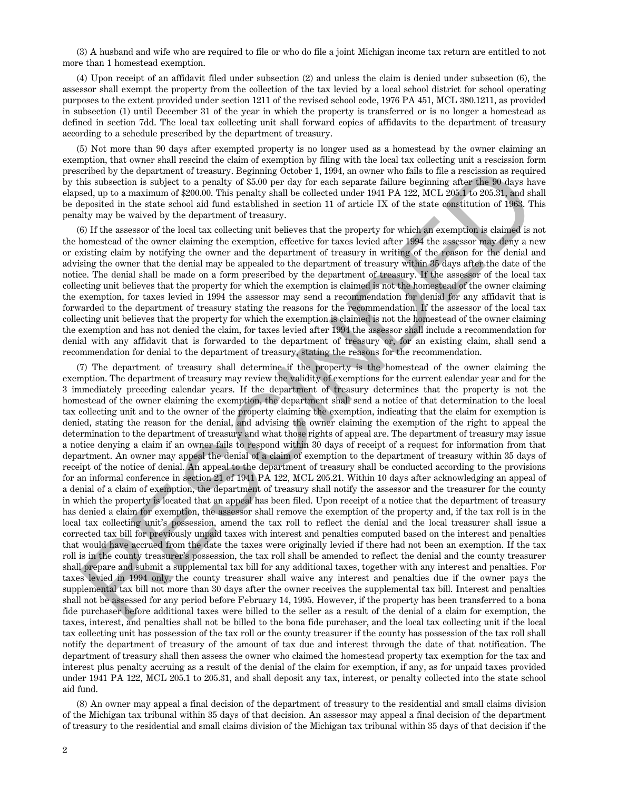(3) A husband and wife who are required to file or who do file a joint Michigan income tax return are entitled to not more than 1 homestead exemption.

(4) Upon receipt of an affidavit filed under subsection (2) and unless the claim is denied under subsection (6), the assessor shall exempt the property from the collection of the tax levied by a local school district for school operating purposes to the extent provided under section 1211 of the revised school code, 1976 PA 451, MCL 380.1211, as provided in subsection (1) until December 31 of the year in which the property is transferred or is no longer a homestead as defined in section 7dd. The local tax collecting unit shall forward copies of affidavits to the department of treasury according to a schedule prescribed by the department of treasury.

(5) Not more than 90 days after exempted property is no longer used as a homestead by the owner claiming an exemption, that owner shall rescind the claim of exemption by filing with the local tax collecting unit a rescission form prescribed by the department of treasury. Beginning October 1, 1994, an owner who fails to file a rescission as required by this subsection is subject to a penalty of \$5.00 per day for each separate failure beginning after the 90 days have elapsed, up to a maximum of \$200.00. This penalty shall be collected under 1941 PA 122, MCL 205.1 to 205.31, and shall be deposited in the state school aid fund established in section 11 of article IX of the state constitution of 1963. This penalty may be waived by the department of treasury.

(6) If the assessor of the local tax collecting unit believes that the property for which an exemption is claimed is not the homestead of the owner claiming the exemption, effective for taxes levied after 1994 the assessor may deny a new or existing claim by notifying the owner and the department of treasury in writing of the reason for the denial and advising the owner that the denial may be appealed to the department of treasury within 35 days after the date of the notice. The denial shall be made on a form prescribed by the department of treasury. If the assessor of the local tax collecting unit believes that the property for which the exemption is claimed is not the homestead of the owner claiming the exemption, for taxes levied in 1994 the assessor may send a recommendation for denial for any affidavit that is forwarded to the department of treasury stating the reasons for the recommendation. If the assessor of the local tax collecting unit believes that the property for which the exemption is claimed is not the homestead of the owner claiming the exemption and has not denied the claim, for taxes levied after 1994 the assessor shall include a recommendation for denial with any affidavit that is forwarded to the department of treasury or, for an existing claim, shall send a recommendation for denial to the department of treasury, stating the reasons for the recommendation.

eribot by the department of treasury. Beginning Griobeler, 1984, an owner who falls to Be a reaction as required in the search in the search in the case of the search in the animal method by the search in the search in th (7) The department of treasury shall determine if the property is the homestead of the owner claiming the exemption. The department of treasury may review the validity of exemptions for the current calendar year and for the 3 immediately preceding calendar years. If the department of treasury determines that the property is not the homestead of the owner claiming the exemption, the department shall send a notice of that determination to the local tax collecting unit and to the owner of the property claiming the exemption, indicating that the claim for exemption is denied, stating the reason for the denial, and advising the owner claiming the exemption of the right to appeal the determination to the department of treasury and what those rights of appeal are. The department of treasury may issue a notice denying a claim if an owner fails to respond within 30 days of receipt of a request for information from that department. An owner may appeal the denial of a claim of exemption to the department of treasury within 35 days of receipt of the notice of denial. An appeal to the department of treasury shall be conducted according to the provisions for an informal conference in section 21 of 1941 PA 122, MCL 205.21. Within 10 days after acknowledging an appeal of a denial of a claim of exemption, the department of treasury shall notify the assessor and the treasurer for the county in which the property is located that an appeal has been filed. Upon receipt of a notice that the department of treasury has denied a claim for exemption, the assessor shall remove the exemption of the property and, if the tax roll is in the local tax collecting unit's possession, amend the tax roll to reflect the denial and the local treasurer shall issue a corrected tax bill for previously unpaid taxes with interest and penalties computed based on the interest and penalties that would have accrued from the date the taxes were originally levied if there had not been an exemption. If the tax roll is in the county treasurer's possession, the tax roll shall be amended to reflect the denial and the county treasurer shall prepare and submit a supplemental tax bill for any additional taxes, together with any interest and penalties. For taxes levied in 1994 only, the county treasurer shall waive any interest and penalties due if the owner pays the supplemental tax bill not more than 30 days after the owner receives the supplemental tax bill. Interest and penalties shall not be assessed for any period before February 14, 1995. However, if the property has been transferred to a bona fide purchaser before additional taxes were billed to the seller as a result of the denial of a claim for exemption, the taxes, interest, and penalties shall not be billed to the bona fide purchaser, and the local tax collecting unit if the local tax collecting unit has possession of the tax roll or the county treasurer if the county has possession of the tax roll shall notify the department of treasury of the amount of tax due and interest through the date of that notification. The department of treasury shall then assess the owner who claimed the homestead property tax exemption for the tax and interest plus penalty accruing as a result of the denial of the claim for exemption, if any, as for unpaid taxes provided under 1941 PA 122, MCL 205.1 to 205.31, and shall deposit any tax, interest, or penalty collected into the state school aid fund.

(8) An owner may appeal a final decision of the department of treasury to the residential and small claims division of the Michigan tax tribunal within 35 days of that decision. An assessor may appeal a final decision of the department of treasury to the residential and small claims division of the Michigan tax tribunal within 35 days of that decision if the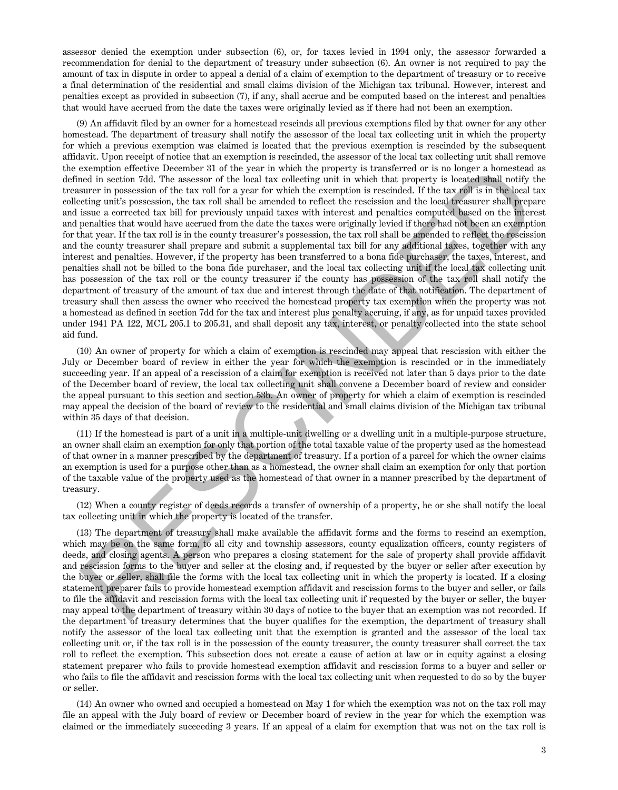assessor denied the exemption under subsection (6), or, for taxes levied in 1994 only, the assessor forwarded a recommendation for denial to the department of treasury under subsection (6). An owner is not required to pay the amount of tax in dispute in order to appeal a denial of a claim of exemption to the department of treasury or to receive a final determination of the residential and small claims division of the Michigan tax tribunal. However, interest and penalties except as provided in subsection (7), if any, shall accrue and be computed based on the interest and penalties that would have accrued from the date the taxes were originally levied as if there had not been an exemption.

occonotion offective Docember 31 of the year in which the property is transferred or is no longer a homested preserve of the local tax collecting unit in which the property is located shall notify the grap from the lax ro (9) An affidavit filed by an owner for a homestead rescinds all previous exemptions filed by that owner for any other homestead. The department of treasury shall notify the assessor of the local tax collecting unit in which the property for which a previous exemption was claimed is located that the previous exemption is rescinded by the subsequent affidavit. Upon receipt of notice that an exemption is rescinded, the assessor of the local tax collecting unit shall remove the exemption effective December 31 of the year in which the property is transferred or is no longer a homestead as defined in section 7dd. The assessor of the local tax collecting unit in which that property is located shall notify the treasurer in possession of the tax roll for a year for which the exemption is rescinded. If the tax roll is in the local tax collecting unit's possession, the tax roll shall be amended to reflect the rescission and the local treasurer shall prepare and issue a corrected tax bill for previously unpaid taxes with interest and penalties computed based on the interest and penalties that would have accrued from the date the taxes were originally levied if there had not been an exemption for that year. If the tax roll is in the county treasurer's possession, the tax roll shall be amended to reflect the rescission and the county treasurer shall prepare and submit a supplemental tax bill for any additional taxes, together with any interest and penalties. However, if the property has been transferred to a bona fide purchaser, the taxes, interest, and penalties shall not be billed to the bona fide purchaser, and the local tax collecting unit if the local tax collecting unit has possession of the tax roll or the county treasurer if the county has possession of the tax roll shall notify the department of treasury of the amount of tax due and interest through the date of that notification. The department of treasury shall then assess the owner who received the homestead property tax exemption when the property was not a homestead as defined in section 7dd for the tax and interest plus penalty accruing, if any, as for unpaid taxes provided under 1941 PA 122, MCL 205.1 to 205.31, and shall deposit any tax, interest, or penalty collected into the state school aid fund.

(10) An owner of property for which a claim of exemption is rescinded may appeal that rescission with either the July or December board of review in either the year for which the exemption is rescinded or in the immediately succeeding year. If an appeal of a rescission of a claim for exemption is received not later than 5 days prior to the date of the December board of review, the local tax collecting unit shall convene a December board of review and consider the appeal pursuant to this section and section 53b. An owner of property for which a claim of exemption is rescinded may appeal the decision of the board of review to the residential and small claims division of the Michigan tax tribunal within 35 days of that decision.

(11) If the homestead is part of a unit in a multiple-unit dwelling or a dwelling unit in a multiple-purpose structure, an owner shall claim an exemption for only that portion of the total taxable value of the property used as the homestead of that owner in a manner prescribed by the department of treasury. If a portion of a parcel for which the owner claims an exemption is used for a purpose other than as a homestead, the owner shall claim an exemption for only that portion of the taxable value of the property used as the homestead of that owner in a manner prescribed by the department of treasury.

(12) When a county register of deeds records a transfer of ownership of a property, he or she shall notify the local tax collecting unit in which the property is located of the transfer.

(13) The department of treasury shall make available the affidavit forms and the forms to rescind an exemption, which may be on the same form, to all city and township assessors, county equalization officers, county registers of deeds, and closing agents. A person who prepares a closing statement for the sale of property shall provide affidavit and rescission forms to the buyer and seller at the closing and, if requested by the buyer or seller after execution by the buyer or seller, shall file the forms with the local tax collecting unit in which the property is located. If a closing statement preparer fails to provide homestead exemption affidavit and rescission forms to the buyer and seller, or fails to file the affidavit and rescission forms with the local tax collecting unit if requested by the buyer or seller, the buyer may appeal to the department of treasury within 30 days of notice to the buyer that an exemption was not recorded. If the department of treasury determines that the buyer qualifies for the exemption, the department of treasury shall notify the assessor of the local tax collecting unit that the exemption is granted and the assessor of the local tax collecting unit or, if the tax roll is in the possession of the county treasurer, the county treasurer shall correct the tax roll to reflect the exemption. This subsection does not create a cause of action at law or in equity against a closing statement preparer who fails to provide homestead exemption affidavit and rescission forms to a buyer and seller or who fails to file the affidavit and rescission forms with the local tax collecting unit when requested to do so by the buyer or seller.

(14) An owner who owned and occupied a homestead on May 1 for which the exemption was not on the tax roll may file an appeal with the July board of review or December board of review in the year for which the exemption was claimed or the immediately succeeding 3 years. If an appeal of a claim for exemption that was not on the tax roll is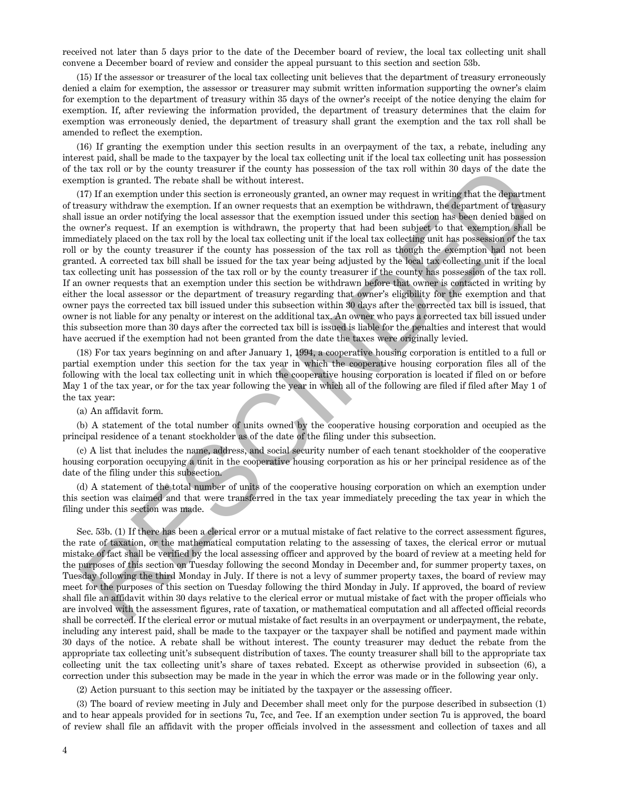received not later than 5 days prior to the date of the December board of review, the local tax collecting unit shall convene a December board of review and consider the appeal pursuant to this section and section 53b.

(15) If the assessor or treasurer of the local tax collecting unit believes that the department of treasury erroneously denied a claim for exemption, the assessor or treasurer may submit written information supporting the owner's claim for exemption to the department of treasury within 35 days of the owner's receipt of the notice denying the claim for exemption. If, after reviewing the information provided, the department of treasury determines that the claim for exemption was erroneously denied, the department of treasury shall grant the exemption and the tax roll shall be amended to reflect the exemption.

(16) If granting the exemption under this section results in an overpayment of the tax, a rebate, including any interest paid, shall be made to the taxpayer by the local tax collecting unit if the local tax collecting unit has possession of the tax roll or by the county treasurer if the county has possession of the tax roll within 30 days of the date the exemption is granted. The rebate shall be without interest.

is tax roll or by the county reasons<br>in the should properties the acceleration of the tax roll within 30 days of the date to<br>straight the acceptation in growing the strength and move may require the boundary in the second (17) If an exemption under this section is erroneously granted, an owner may request in writing that the department of treasury withdraw the exemption. If an owner requests that an exemption be withdrawn, the department of treasury shall issue an order notifying the local assessor that the exemption issued under this section has been denied based on the owner's request. If an exemption is withdrawn, the property that had been subject to that exemption shall be immediately placed on the tax roll by the local tax collecting unit if the local tax collecting unit has possession of the tax roll or by the county treasurer if the county has possession of the tax roll as though the exemption had not been granted. A corrected tax bill shall be issued for the tax year being adjusted by the local tax collecting unit if the local tax collecting unit has possession of the tax roll or by the county treasurer if the county has possession of the tax roll. If an owner requests that an exemption under this section be withdrawn before that owner is contacted in writing by either the local assessor or the department of treasury regarding that owner's eligibility for the exemption and that owner pays the corrected tax bill issued under this subsection within 30 days after the corrected tax bill is issued, that owner is not liable for any penalty or interest on the additional tax. An owner who pays a corrected tax bill issued under this subsection more than 30 days after the corrected tax bill is issued is liable for the penalties and interest that would have accrued if the exemption had not been granted from the date the taxes were originally levied.

(18) For tax years beginning on and after January 1, 1994, a cooperative housing corporation is entitled to a full or partial exemption under this section for the tax year in which the cooperative housing corporation files all of the following with the local tax collecting unit in which the cooperative housing corporation is located if filed on or before May 1 of the tax year, or for the tax year following the year in which all of the following are filed if filed after May 1 of the tax year:

(a) An affidavit form.

(b) A statement of the total number of units owned by the cooperative housing corporation and occupied as the principal residence of a tenant stockholder as of the date of the filing under this subsection.

(c) A list that includes the name, address, and social security number of each tenant stockholder of the cooperative housing corporation occupying a unit in the cooperative housing corporation as his or her principal residence as of the date of the filing under this subsection.

(d) A statement of the total number of units of the cooperative housing corporation on which an exemption under this section was claimed and that were transferred in the tax year immediately preceding the tax year in which the filing under this section was made.

Sec. 53b. (1) If there has been a clerical error or a mutual mistake of fact relative to the correct assessment figures, the rate of taxation, or the mathematical computation relating to the assessing of taxes, the clerical error or mutual mistake of fact shall be verified by the local assessing officer and approved by the board of review at a meeting held for the purposes of this section on Tuesday following the second Monday in December and, for summer property taxes, on Tuesday following the third Monday in July. If there is not a levy of summer property taxes, the board of review may meet for the purposes of this section on Tuesday following the third Monday in July. If approved, the board of review shall file an affidavit within 30 days relative to the clerical error or mutual mistake of fact with the proper officials who are involved with the assessment figures, rate of taxation, or mathematical computation and all affected official records shall be corrected. If the clerical error or mutual mistake of fact results in an overpayment or underpayment, the rebate, including any interest paid, shall be made to the taxpayer or the taxpayer shall be notified and payment made within 30 days of the notice. A rebate shall be without interest. The county treasurer may deduct the rebate from the appropriate tax collecting unit's subsequent distribution of taxes. The county treasurer shall bill to the appropriate tax collecting unit the tax collecting unit's share of taxes rebated. Except as otherwise provided in subsection (6), a correction under this subsection may be made in the year in which the error was made or in the following year only.

(2) Action pursuant to this section may be initiated by the taxpayer or the assessing officer.

(3) The board of review meeting in July and December shall meet only for the purpose described in subsection (1) and to hear appeals provided for in sections 7u, 7cc, and 7ee. If an exemption under section 7u is approved, the board of review shall file an affidavit with the proper officials involved in the assessment and collection of taxes and all